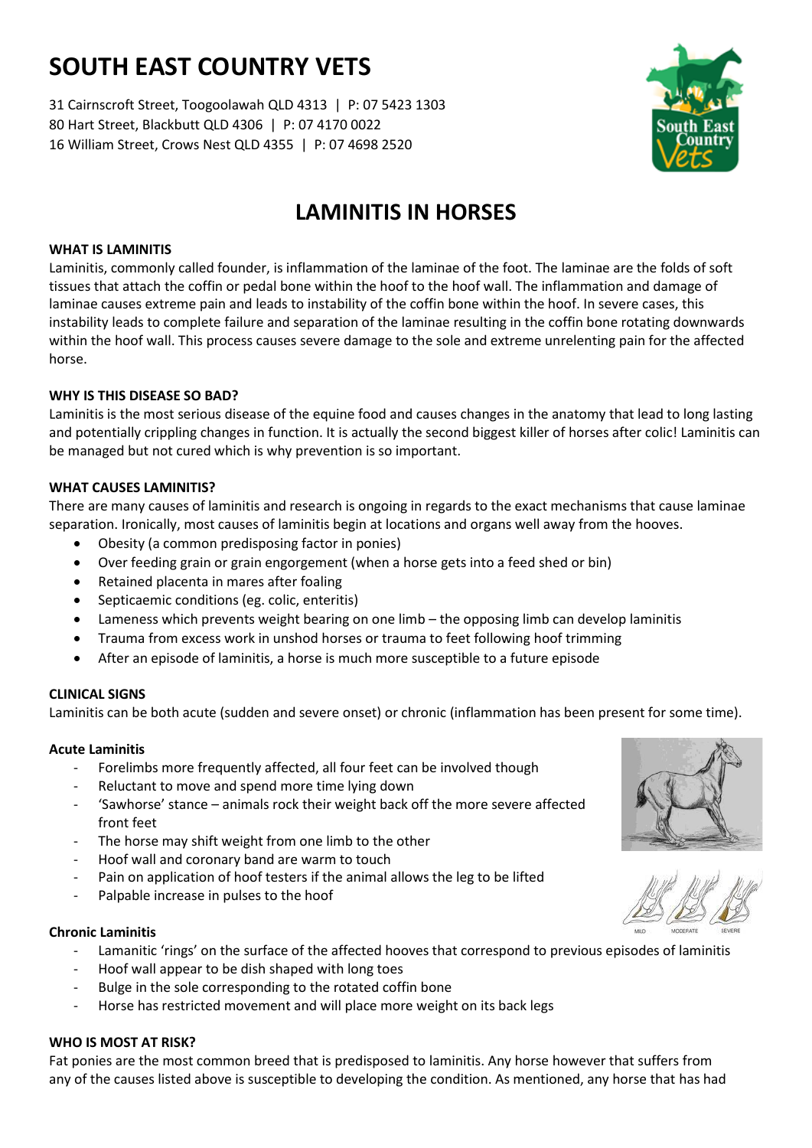# **SOUTH EAST COUNTRY VETS**

31 Cairnscroft Street, Toogoolawah QLD 4313 | P: 07 5423 1303 80 Hart Street, Blackbutt QLD 4306 | P: 07 4170 0022 16 William Street, Crows Nest QLD 4355 | P: 07 4698 2520



# **LAMINITIS IN HORSES**

# **WHAT IS LAMINITIS**

Laminitis, commonly called founder, is inflammation of the laminae of the foot. The laminae are the folds of soft tissues that attach the coffin or pedal bone within the hoof to the hoof wall. The inflammation and damage of laminae causes extreme pain and leads to instability of the coffin bone within the hoof. In severe cases, this instability leads to complete failure and separation of the laminae resulting in the coffin bone rotating downwards within the hoof wall. This process causes severe damage to the sole and extreme unrelenting pain for the affected horse.

### **WHY IS THIS DISEASE SO BAD?**

Laminitis is the most serious disease of the equine food and causes changes in the anatomy that lead to long lasting and potentially crippling changes in function. It is actually the second biggest killer of horses after colic! Laminitis can be managed but not cured which is why prevention is so important.

# **WHAT CAUSES LAMINITIS?**

There are many causes of laminitis and research is ongoing in regards to the exact mechanisms that cause laminae separation. Ironically, most causes of laminitis begin at locations and organs well away from the hooves.

- Obesity (a common predisposing factor in ponies)
- Over feeding grain or grain engorgement (when a horse gets into a feed shed or bin)
- Retained placenta in mares after foaling
- Septicaemic conditions (eg. colic, enteritis)
- Lameness which prevents weight bearing on one limb the opposing limb can develop laminitis
- Trauma from excess work in unshod horses or trauma to feet following hoof trimming
- After an episode of laminitis, a horse is much more susceptible to a future episode

# **CLINICAL SIGNS**

Laminitis can be both acute (sudden and severe onset) or chronic (inflammation has been present for some time).

# **Acute Laminitis**

- Forelimbs more frequently affected, all four feet can be involved though
- Reluctant to move and spend more time lying down
- 'Sawhorse' stance animals rock their weight back off the more severe affected front feet
- The horse may shift weight from one limb to the other
- Hoof wall and coronary band are warm to touch
- Pain on application of hoof testers if the animal allows the leg to be lifted
- Palpable increase in pulses to the hoof

#### **Chronic Laminitis**

- Lamanitic 'rings' on the surface of the affected hooves that correspond to previous episodes of laminitis
- Hoof wall appear to be dish shaped with long toes
- Bulge in the sole corresponding to the rotated coffin bone
- Horse has restricted movement and will place more weight on its back legs

# **WHO IS MOST AT RISK?**

Fat ponies are the most common breed that is predisposed to laminitis. Any horse however that suffers from any of the causes listed above is susceptible to developing the condition. As mentioned, any horse that has had